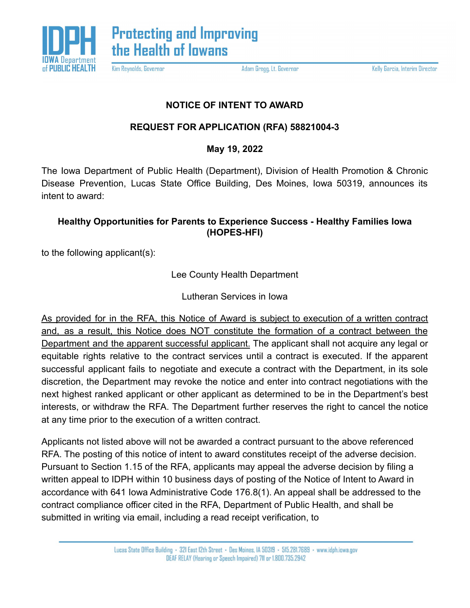

Kim Reynolds, Governor

Adam Gregg, Lt. Governor

Kelly Garcia, Interim Director

## **NOTICE OF INTENT TO AWARD**

## **REQUEST FOR APPLICATION (RFA) 58821004-3**

**May 19, 2022**

The Iowa Department of Public Health (Department), Division of Health Promotion & Chronic Disease Prevention, Lucas State Office Building, Des Moines, Iowa 50319, announces its intent to award:

## **Healthy Opportunities for Parents to Experience Success - Healthy Families Iowa (HOPES-HFI)**

to the following applicant(s):

Lee County Health Department

Lutheran Services in Iowa

As provided for in the RFA, this Notice of Award is subject to execution of a written contract and, as a result, this Notice does NOT constitute the formation of a contract between the Department and the apparent successful applicant. The applicant shall not acquire any legal or equitable rights relative to the contract services until a contract is executed. If the apparent successful applicant fails to negotiate and execute a contract with the Department, in its sole discretion, the Department may revoke the notice and enter into contract negotiations with the next highest ranked applicant or other applicant as determined to be in the Department's best interests, or withdraw the RFA. The Department further reserves the right to cancel the notice at any time prior to the execution of a written contract.

Applicants not listed above will not be awarded a contract pursuant to the above referenced RFA. The posting of this notice of intent to award constitutes receipt of the adverse decision. Pursuant to Section 1.15 of the RFA, applicants may appeal the adverse decision by filing a written appeal to IDPH within 10 business days of posting of the Notice of Intent to Award in accordance with 641 Iowa Administrative Code 176.8(1). An appeal shall be addressed to the contract compliance officer cited in the RFA, Department of Public Health, and shall be submitted in writing via email, including a read receipt verification, to